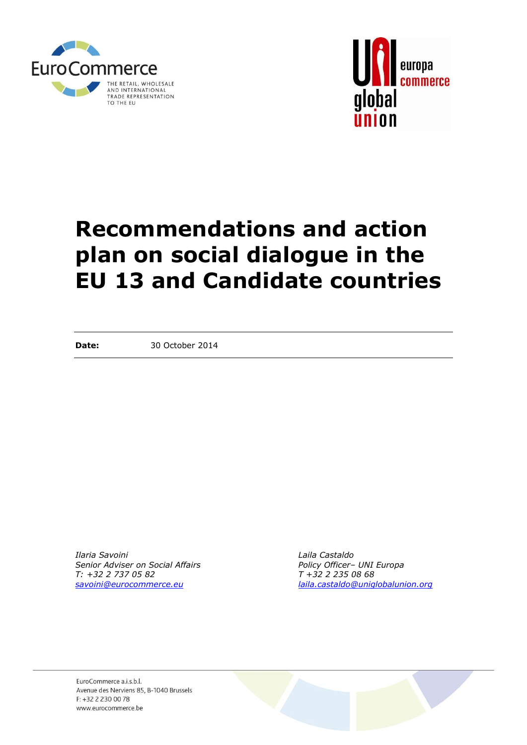



# **Recommendations and action plan on social dialogue in the EU 13 and Candidate countries**

**Date:** 30 October 2014

*Ilaria Savoini Laila Castaldo Senior Adviser on Social Affairs Policy Officer– UNI Europa T: +32 2 737 05 82 T +32 2 235 08 68*

*[savoini@eurocommerce.eu](mailto:savoini@eurocommerce.eu) [laila.castaldo@uniglobalunion.org](mailto:laila.castaldo@uniglobalunion.org)*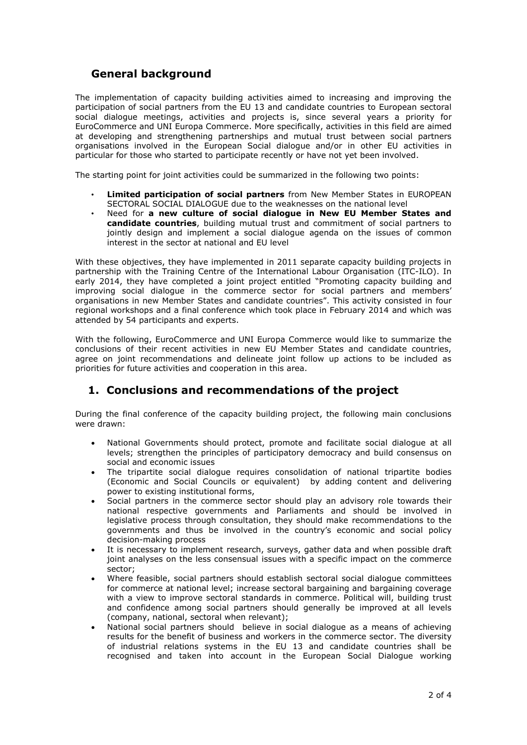# **General background**

The implementation of capacity building activities aimed to increasing and improving the participation of social partners from the EU 13 and candidate countries to European sectoral social dialogue meetings, activities and projects is, since several years a priority for EuroCommerce and UNI Europa Commerce. More specifically, activities in this field are aimed at developing and strengthening partnerships and mutual trust between social partners organisations involved in the European Social dialogue and/or in other EU activities in particular for those who started to participate recently or have not yet been involved.

The starting point for joint activities could be summarized in the following two points:

- **Limited participation of social partners** from New Member States in EUROPEAN SECTORAL SOCIAL DIALOGUE due to the weaknesses on the national level
- Need for **a new culture of social dialogue in New EU Member States and candidate countries**, building mutual trust and commitment of social partners to jointly design and implement a social dialogue agenda on the issues of common interest in the sector at national and EU level

With these objectives, they have implemented in 2011 separate capacity building projects in partnership with the Training Centre of the International Labour Organisation (ITC-ILO). In early 2014, they have completed a joint project entitled "Promoting capacity building and improving social dialogue in the commerce sector for social partners and members' organisations in new Member States and candidate countries". This activity consisted in four regional workshops and a final conference which took place in February 2014 and which was attended by 54 participants and experts.

With the following, EuroCommerce and UNI Europa Commerce would like to summarize the conclusions of their recent activities in new EU Member States and candidate countries, agree on joint recommendations and delineate joint follow up actions to be included as priorities for future activities and cooperation in this area.

# **1. Conclusions and recommendations of the project**

During the final conference of the capacity building project, the following main conclusions were drawn:

- National Governments should protect, promote and facilitate social dialogue at all levels; strengthen the principles of participatory democracy and build consensus on social and economic issues
- The tripartite social dialogue requires consolidation of national tripartite bodies (Economic and Social Councils or equivalent) by adding content and delivering power to existing institutional forms,
- Social partners in the commerce sector should play an advisory role towards their national respective governments and Parliaments and should be involved in legislative process through consultation, they should make recommendations to the governments and thus be involved in the country's economic and social policy decision-making process
- It is necessary to implement research, surveys, gather data and when possible draft joint analyses on the less consensual issues with a specific impact on the commerce sector;
- Where feasible, social partners should establish sectoral social dialogue committees for commerce at national level; increase sectoral bargaining and bargaining coverage with a view to improve sectoral standards in commerce. Political will, building trust and confidence among social partners should generally be improved at all levels (company, national, sectoral when relevant);
- National social partners should believe in social dialogue as a means of achieving results for the benefit of business and workers in the commerce sector. The diversity of industrial relations systems in the EU 13 and candidate countries shall be recognised and taken into account in the European Social Dialogue working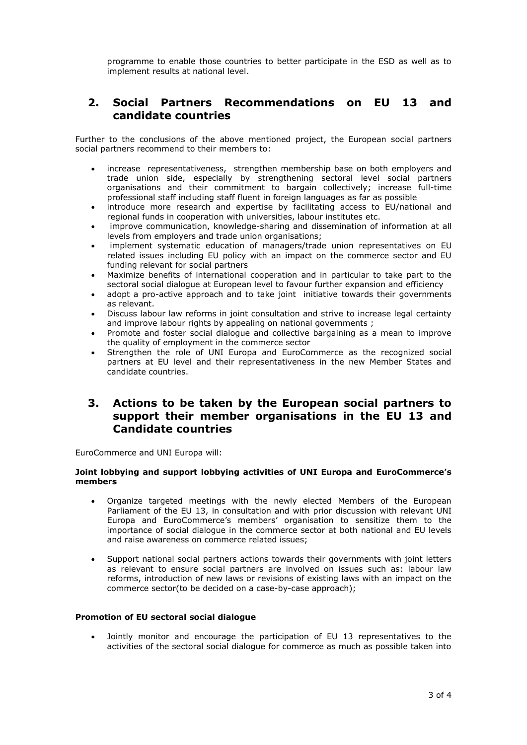programme to enable those countries to better participate in the ESD as well as to implement results at national level.

## **2. Social Partners Recommendations on EU 13 and candidate countries**

Further to the conclusions of the above mentioned project, the European social partners social partners recommend to their members to:

- increase representativeness, strengthen membership base on both employers and trade union side, especially by strengthening sectoral level social partners organisations and their commitment to bargain collectively; increase full-time professional staff including staff fluent in foreign languages as far as possible
- introduce more research and expertise by facilitating access to EU/national and regional funds in cooperation with universities, labour institutes etc.
- improve communication, knowledge-sharing and dissemination of information at all levels from employers and trade union organisations;
- implement systematic education of managers/trade union representatives on EU related issues including EU policy with an impact on the commerce sector and EU funding relevant for social partners
- Maximize benefits of international cooperation and in particular to take part to the sectoral social dialogue at European level to favour further expansion and efficiency
- adopt a pro-active approach and to take joint initiative towards their governments as relevant.
- Discuss labour law reforms in joint consultation and strive to increase legal certainty and improve labour rights by appealing on national governments;
- Promote and foster social dialogue and collective bargaining as a mean to improve the quality of employment in the commerce sector
- Strengthen the role of UNI Europa and EuroCommerce as the recognized social partners at EU level and their representativeness in the new Member States and candidate countries.

## **3. Actions to be taken by the European social partners to support their member organisations in the EU 13 and Candidate countries**

EuroCommerce and UNI Europa will:

## **Joint lobbying and support lobbying activities of UNI Europa and EuroCommerce's members**

- Organize targeted meetings with the newly elected Members of the European Parliament of the EU 13, in consultation and with prior discussion with relevant UNI Europa and EuroCommerce's members' organisation to sensitize them to the importance of social dialogue in the commerce sector at both national and EU levels and raise awareness on commerce related issues;
- Support national social partners actions towards their governments with joint letters as relevant to ensure social partners are involved on issues such as: labour law reforms, introduction of new laws or revisions of existing laws with an impact on the commerce sector(to be decided on a case-by-case approach);

## **Promotion of EU sectoral social dialogue**

 Jointly monitor and encourage the participation of EU 13 representatives to the activities of the sectoral social dialogue for commerce as much as possible taken into